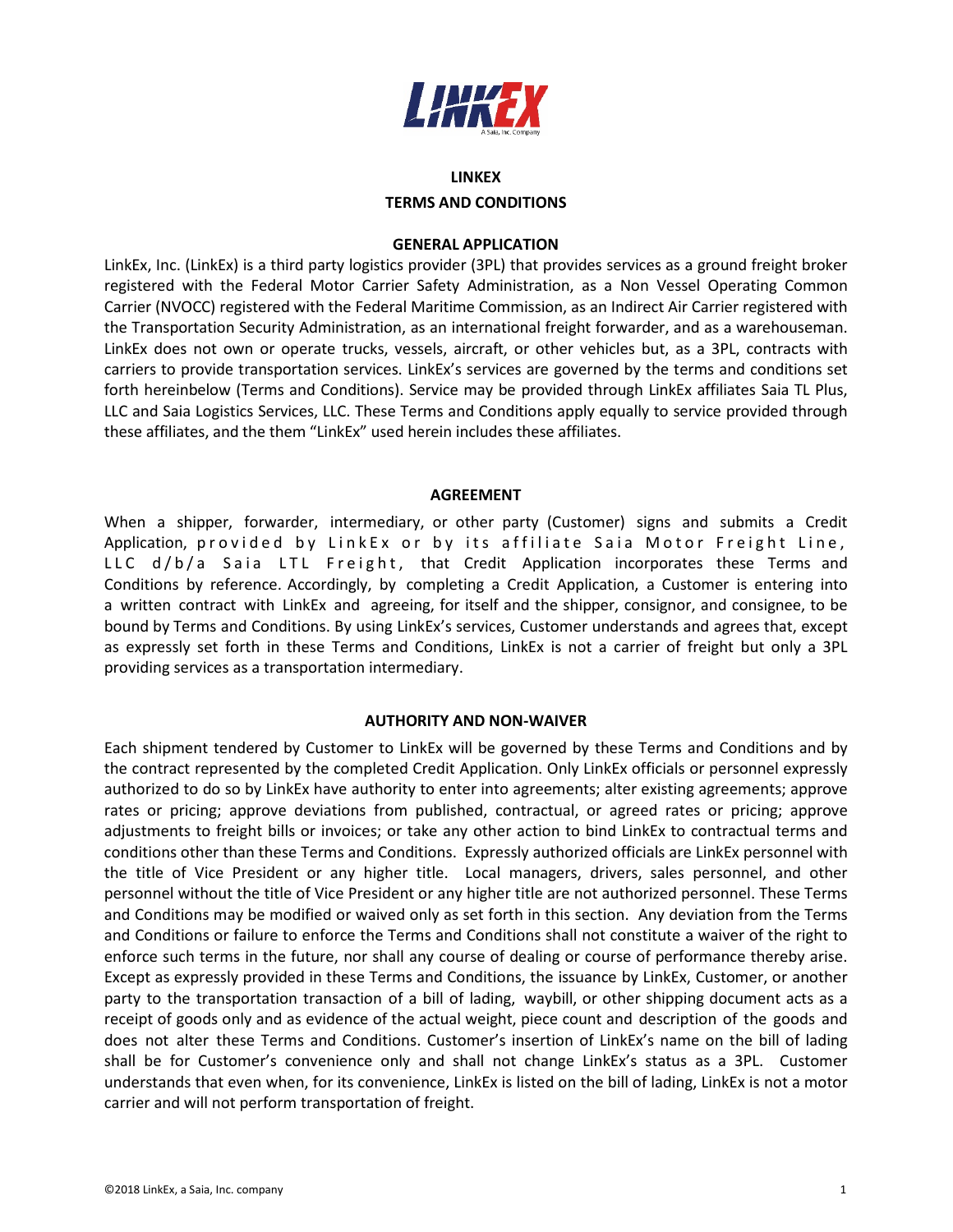

# **LINKEX TERMS AND CONDITIONS**

# **GENERAL APPLICATION**

LinkEx, Inc. (LinkEx) is a third party logistics provider (3PL) that provides services as a ground freight broker registered with the Federal Motor Carrier Safety Administration, as a Non Vessel Operating Common Carrier (NVOCC) registered with the Federal Maritime Commission, as an Indirect Air Carrier registered with the Transportation Security Administration, as an international freight forwarder, and as a warehouseman. LinkEx does not own or operate trucks, vessels, aircraft, or other vehicles but, as a 3PL, contracts with carriers to provide transportation services. LinkEx's services are governed by the terms and conditions set forth hereinbelow (Terms and Conditions). Service may be provided through LinkEx affiliates Saia TL Plus, LLC and Saia Logistics Services, LLC. These Terms and Conditions apply equally to service provided through these affiliates, and the them "LinkEx" used herein includes these affiliates.

#### **AGREEMENT**

When a shipper, forwarder, intermediary, or other party (Customer) signs and submits a Credit Application, provided by LinkEx or by its affiliate Saia Motor Freight Line, LLC d/b/a Saia LTL Freight, that Credit Application incorporates these Terms and Conditions by reference. Accordingly, by completing a Credit Application, a Customer is entering into a written contract with LinkEx and agreeing, for itself and the shipper, consignor, and consignee, to be bound by Terms and Conditions. By using LinkEx's services, Customer understands and agrees that, except as expressly set forth in these Terms and Conditions, LinkEx is not a carrier of freight but only a 3PL providing services as a transportation intermediary.

# **AUTHORITY AND NON-WAIVER**

Each shipment tendered by Customer to LinkEx will be governed by these Terms and Conditions and by the contract represented by the completed Credit Application. Only LinkEx officials or personnel expressly authorized to do so by LinkEx have authority to enter into agreements; alter existing agreements; approve rates or pricing; approve deviations from published, contractual, or agreed rates or pricing; approve adjustments to freight bills or invoices; or take any other action to bind LinkEx to contractual terms and conditions other than these Terms and Conditions. Expressly authorized officials are LinkEx personnel with the title of Vice President or any higher title. Local managers, drivers, sales personnel, and other personnel without the title of Vice President or any higher title are not authorized personnel. These Terms and Conditions may be modified or waived only as set forth in this section. Any deviation from the Terms and Conditions or failure to enforce the Terms and Conditions shall not constitute a waiver of the right to enforce such terms in the future, nor shall any course of dealing or course of performance thereby arise. Except as expressly provided in these Terms and Conditions, the issuance by LinkEx, Customer, or another party to the transportation transaction of a bill of lading, waybill, or other shipping document acts as a receipt of goods only and as evidence of the actual weight, piece count and description of the goods and does not alter these Terms and Conditions. Customer's insertion of LinkEx's name on the bill of lading shall be for Customer's convenience only and shall not change LinkEx's status as a 3PL. Customer understands that even when, for its convenience, LinkEx is listed on the bill of lading, LinkEx is not a motor carrier and will not perform transportation of freight.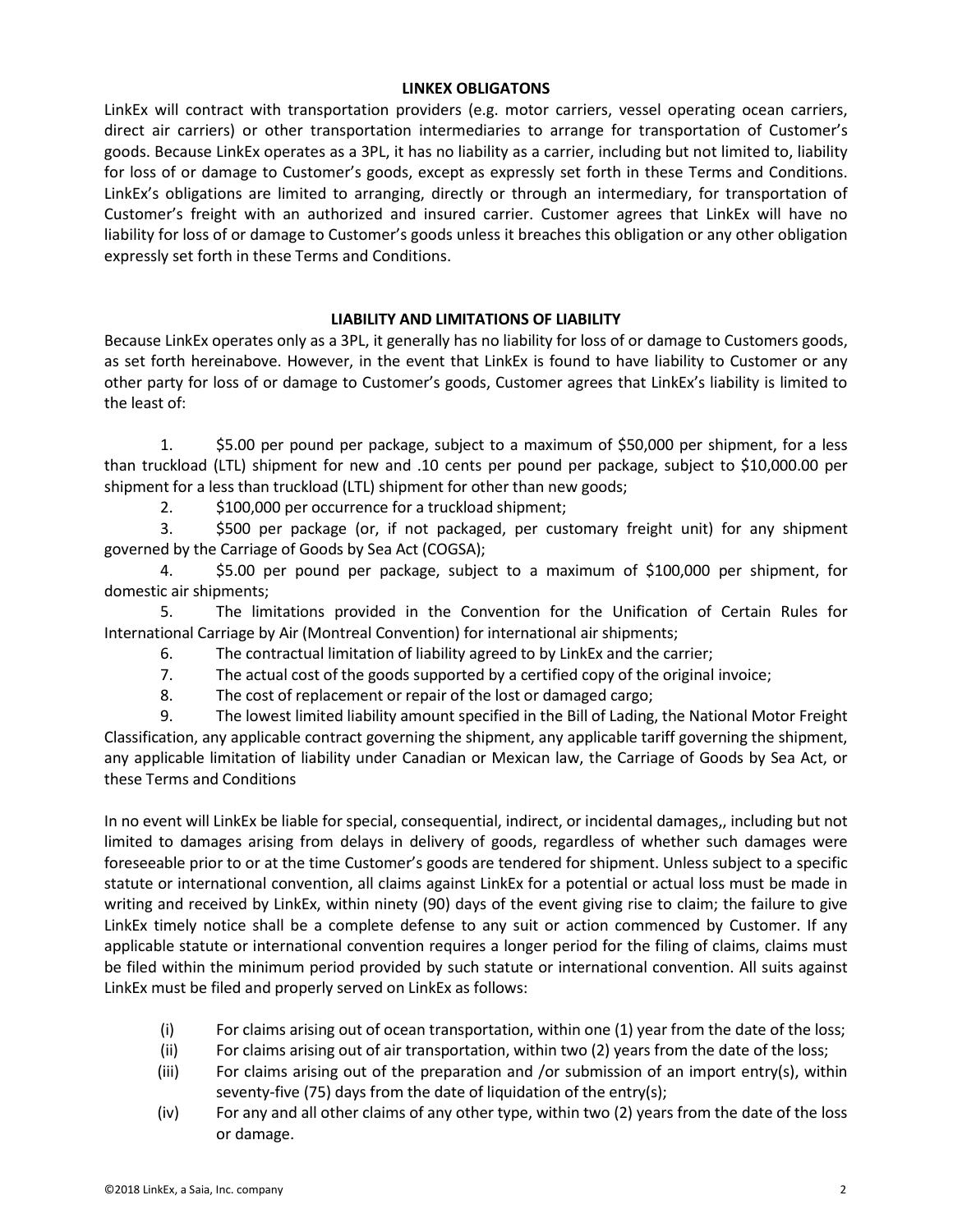# **LINKEX OBLIGATONS**

LinkEx will contract with transportation providers (e.g. motor carriers, vessel operating ocean carriers, direct air carriers) or other transportation intermediaries to arrange for transportation of Customer's goods. Because LinkEx operates as a 3PL, it has no liability as a carrier, including but not limited to, liability for loss of or damage to Customer's goods, except as expressly set forth in these Terms and Conditions. LinkEx's obligations are limited to arranging, directly or through an intermediary, for transportation of Customer's freight with an authorized and insured carrier. Customer agrees that LinkEx will have no liability for loss of or damage to Customer's goods unless it breaches this obligation or any other obligation expressly set forth in these Terms and Conditions.

# **LIABILITY AND LIMITATIONS OF LIABILITY**

Because LinkEx operates only as a 3PL, it generally has no liability for loss of or damage to Customers goods, as set forth hereinabove. However, in the event that LinkEx is found to have liability to Customer or any other party for loss of or damage to Customer's goods, Customer agrees that LinkEx's liability is limited to the least of:

1. \$5.00 per pound per package, subject to a maximum of \$50,000 per shipment, for a less than truckload (LTL) shipment for new and .10 cents per pound per package, subject to \$10,000.00 per shipment for a less than truckload (LTL) shipment for other than new goods;

2. \$100,000 per occurrence for a truckload shipment;

3. \$500 per package (or, if not packaged, per customary freight unit) for any shipment governed by the Carriage of Goods by Sea Act (COGSA);

4. \$5.00 per pound per package, subject to a maximum of \$100,000 per shipment, for domestic air shipments;

5. The limitations provided in the Convention for the Unification of Certain Rules for International Carriage by Air (Montreal Convention) for international air shipments;

6. The contractual limitation of liability agreed to by LinkEx and the carrier;

- 7. The actual cost of the goods supported by a certified copy of the original invoice;
- 8. The cost of replacement or repair of the lost or damaged cargo;

9. The lowest limited liability amount specified in the Bill of Lading, the National Motor Freight Classification, any applicable contract governing the shipment, any applicable tariff governing the shipment, any applicable limitation of liability under Canadian or Mexican law, the Carriage of Goods by Sea Act, or these Terms and Conditions

In no event will LinkEx be liable for special, consequential, indirect, or incidental damages,, including but not limited to damages arising from delays in delivery of goods, regardless of whether such damages were foreseeable prior to or at the time Customer's goods are tendered for shipment. Unless subject to a specific statute or international convention, all claims against LinkEx for a potential or actual loss must be made in writing and received by LinkEx, within ninety (90) days of the event giving rise to claim; the failure to give LinkEx timely notice shall be a complete defense to any suit or action commenced by Customer. If any applicable statute or international convention requires a longer period for the filing of claims, claims must be filed within the minimum period provided by such statute or international convention. All suits against LinkEx must be filed and properly served on LinkEx as follows:

- (i) For claims arising out of ocean transportation, within one (1) year from the date of the loss;
- (ii) For claims arising out of air transportation, within two (2) years from the date of the loss;
- (iii) For claims arising out of the preparation and /or submission of an import entry(s), within seventy-five (75) days from the date of liquidation of the entry(s);
- (iv) For any and all other claims of any other type, within two (2) years from the date of the loss or damage.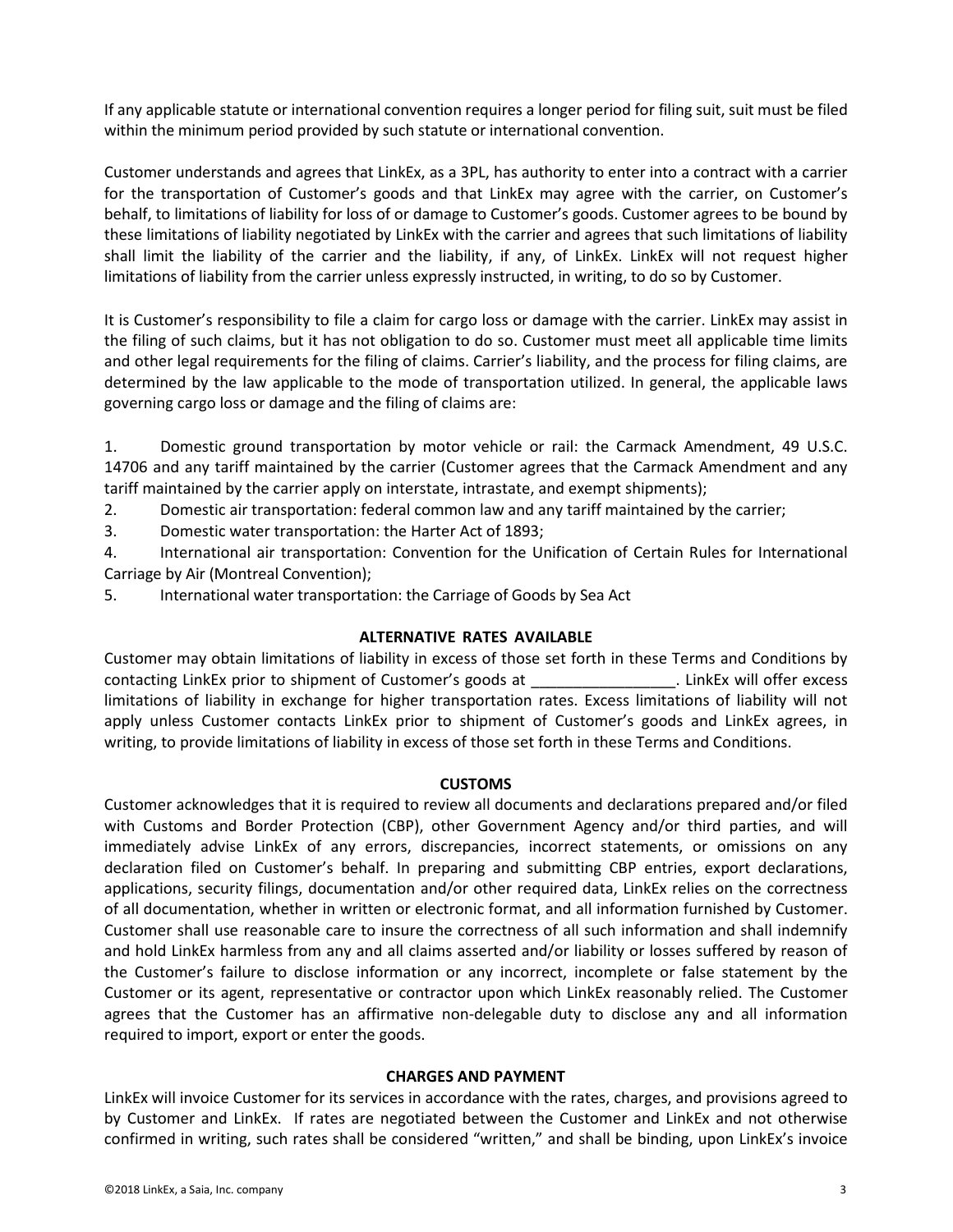If any applicable statute or international convention requires a longer period for filing suit, suit must be filed within the minimum period provided by such statute or international convention.

Customer understands and agrees that LinkEx, as a 3PL, has authority to enter into a contract with a carrier for the transportation of Customer's goods and that LinkEx may agree with the carrier, on Customer's behalf, to limitations of liability for loss of or damage to Customer's goods. Customer agrees to be bound by these limitations of liability negotiated by LinkEx with the carrier and agrees that such limitations of liability shall limit the liability of the carrier and the liability, if any, of LinkEx. LinkEx will not request higher limitations of liability from the carrier unless expressly instructed, in writing, to do so by Customer.

It is Customer's responsibility to file a claim for cargo loss or damage with the carrier. LinkEx may assist in the filing of such claims, but it has not obligation to do so. Customer must meet all applicable time limits and other legal requirements for the filing of claims. Carrier's liability, and the process for filing claims, are determined by the law applicable to the mode of transportation utilized. In general, the applicable laws governing cargo loss or damage and the filing of claims are:

1. Domestic ground transportation by motor vehicle or rail: the Carmack Amendment, 49 U.S.C. 14706 and any tariff maintained by the carrier (Customer agrees that the Carmack Amendment and any tariff maintained by the carrier apply on interstate, intrastate, and exempt shipments);

2. Domestic air transportation: federal common law and any tariff maintained by the carrier;

3. Domestic water transportation: the Harter Act of 1893;

4. International air transportation: Convention for the Unification of Certain Rules for International Carriage by Air (Montreal Convention);

5. International water transportation: the Carriage of Goods by Sea Act

# **ALTERNATIVE RATES AVAILABLE**

Customer may obtain limitations of liability in excess of those set forth in these Terms and Conditions by contacting LinkEx prior to shipment of Customer's goods at \_\_\_\_\_\_\_\_\_\_\_\_\_\_\_\_\_. LinkEx will offer excess limitations of liability in exchange for higher transportation rates. Excess limitations of liability will not apply unless Customer contacts LinkEx prior to shipment of Customer's goods and LinkEx agrees, in writing, to provide limitations of liability in excess of those set forth in these Terms and Conditions.

# **CUSTOMS**

Customer acknowledges that it is required to review all documents and declarations prepared and/or filed with Customs and Border Protection (CBP), other Government Agency and/or third parties, and will immediately advise LinkEx of any errors, discrepancies, incorrect statements, or omissions on any declaration filed on Customer's behalf. In preparing and submitting CBP entries, export declarations, applications, security filings, documentation and/or other required data, LinkEx relies on the correctness of all documentation, whether in written or electronic format, and all information furnished by Customer. Customer shall use reasonable care to insure the correctness of all such information and shall indemnify and hold LinkEx harmless from any and all claims asserted and/or liability or losses suffered by reason of the Customer's failure to disclose information or any incorrect, incomplete or false statement by the Customer or its agent, representative or contractor upon which LinkEx reasonably relied. The Customer agrees that the Customer has an affirmative non-delegable duty to disclose any and all information required to import, export or enter the goods.

# **CHARGES AND PAYMENT**

LinkEx will invoice Customer for its services in accordance with the rates, charges, and provisions agreed to by Customer and LinkEx. If rates are negotiated between the Customer and LinkEx and not otherwise confirmed in writing, such rates shall be considered "written," and shall be binding, upon LinkEx's invoice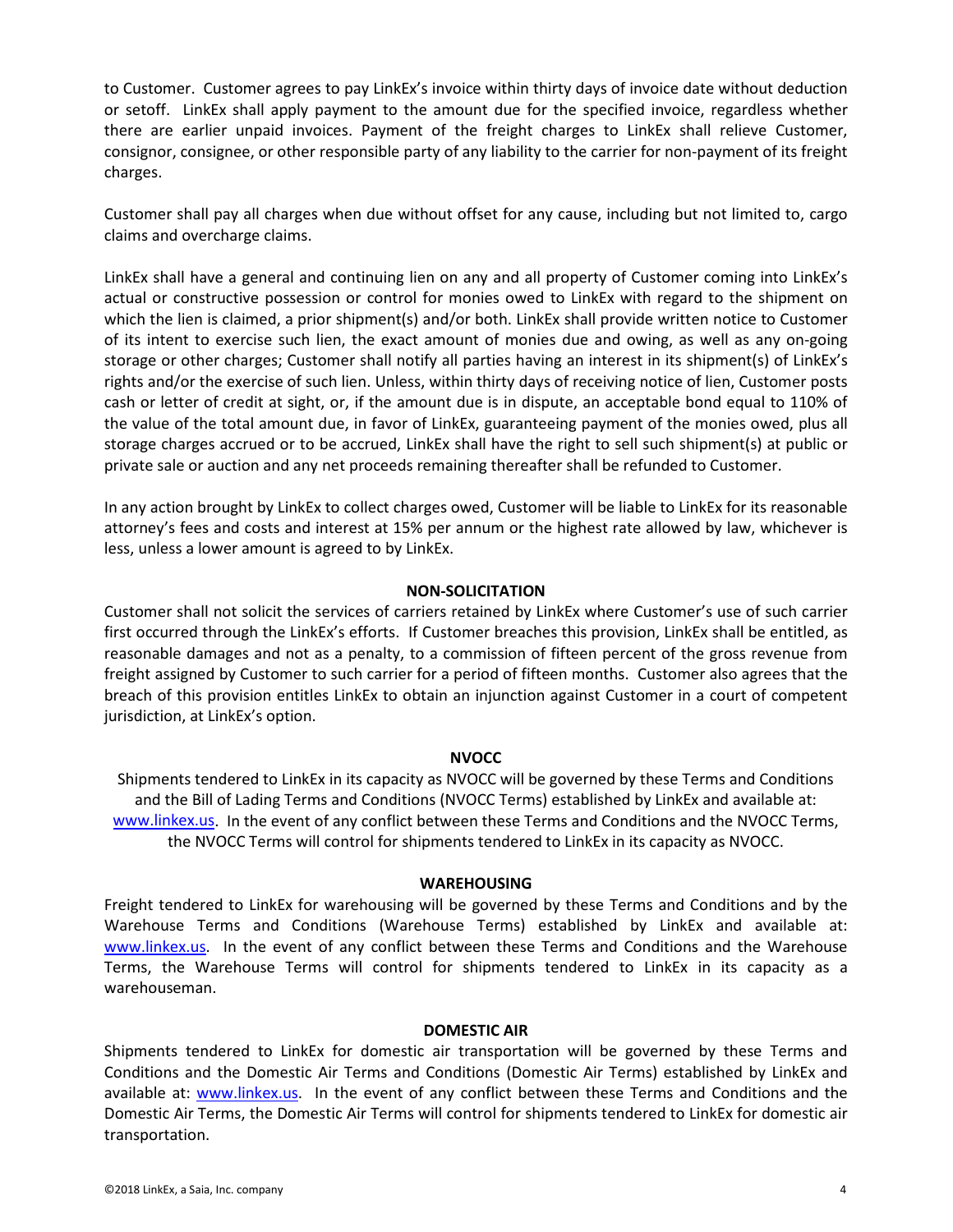to Customer. Customer agrees to pay LinkEx's invoice within thirty days of invoice date without deduction or setoff. LinkEx shall apply payment to the amount due for the specified invoice, regardless whether there are earlier unpaid invoices. Payment of the freight charges to LinkEx shall relieve Customer, consignor, consignee, or other responsible party of any liability to the carrier for non-payment of its freight charges.

Customer shall pay all charges when due without offset for any cause, including but not limited to, cargo claims and overcharge claims.

LinkEx shall have a general and continuing lien on any and all property of Customer coming into LinkEx's actual or constructive possession or control for monies owed to LinkEx with regard to the shipment on which the lien is claimed, a prior shipment(s) and/or both. LinkEx shall provide written notice to Customer of its intent to exercise such lien, the exact amount of monies due and owing, as well as any on-going storage or other charges; Customer shall notify all parties having an interest in its shipment(s) of LinkEx's rights and/or the exercise of such lien. Unless, within thirty days of receiving notice of lien, Customer posts cash or letter of credit at sight, or, if the amount due is in dispute, an acceptable bond equal to 110% of the value of the total amount due, in favor of LinkEx, guaranteeing payment of the monies owed, plus all storage charges accrued or to be accrued, LinkEx shall have the right to sell such shipment(s) at public or private sale or auction and any net proceeds remaining thereafter shall be refunded to Customer.

In any action brought by LinkEx to collect charges owed, Customer will be liable to LinkEx for its reasonable attorney's fees and costs and interest at 15% per annum or the highest rate allowed by law, whichever is less, unless a lower amount is agreed to by LinkEx.

# **NON-SOLICITATION**

Customer shall not solicit the services of carriers retained by LinkEx where Customer's use of such carrier first occurred through the LinkEx's efforts. If Customer breaches this provision, LinkEx shall be entitled, as reasonable damages and not as a penalty, to a commission of fifteen percent of the gross revenue from freight assigned by Customer to such carrier for a period of fifteen months. Customer also agrees that the breach of this provision entitles LinkEx to obtain an injunction against Customer in a court of competent jurisdiction, at LinkEx's option.

#### **NVOCC**

Shipments tendered to LinkEx in its capacity as NVOCC will be governed by these Terms and Conditions and the Bill of Lading Terms and Conditions (NVOCC Terms) established by LinkEx and available at: [www.linkex.us.](http://www.linkex.us/) In the event of any conflict between these Terms and Conditions and the NVOCC Terms, the NVOCC Terms will control for shipments tendered to LinkEx in its capacity as NVOCC.

#### **WAREHOUSING**

Freight tendered to LinkEx for warehousing will be governed by these Terms and Conditions and by the Warehouse Terms and Conditions (Warehouse Terms) established by LinkEx and available at: [www.linkex.us.](http://www.linkex.com/) In the event of any conflict between these Terms and Conditions and the Warehouse Terms, the Warehouse Terms will control for shipments tendered to LinkEx in its capacity as a warehouseman.

#### **DOMESTIC AIR**

Shipments tendered to LinkEx for domestic air transportation will be governed by these Terms and Conditions and the Domestic Air Terms and Conditions (Domestic Air Terms) established by LinkEx and available at: [www.linkex.us.](http://www.linkex.com/) In the event of any conflict between these Terms and Conditions and the Domestic Air Terms, the Domestic Air Terms will control for shipments tendered to LinkEx for domestic air transportation.